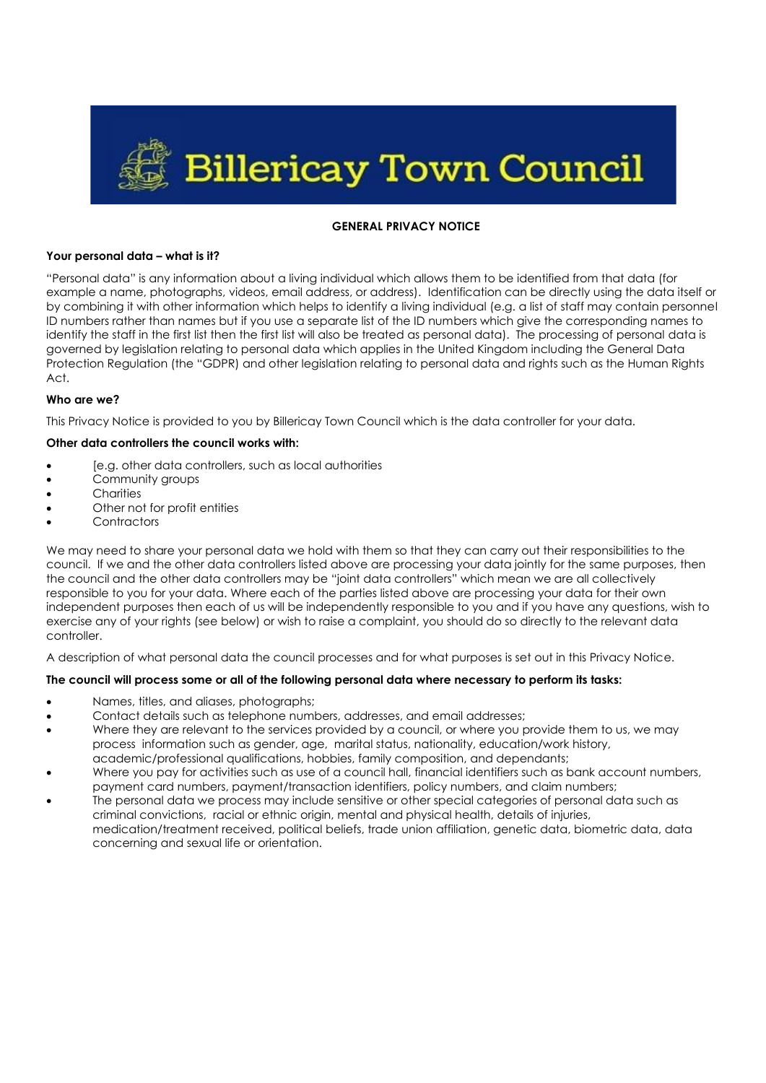

### **GENERAL PRIVACY NOTICE**

### **Your personal data – what is it?**

"Personal data" is any information about a living individual which allows them to be identified from that data (for example a name, photographs, videos, email address, or address). Identification can be directly using the data itself or by combining it with other information which helps to identify a living individual (e.g. a list of staff may contain personnel ID numbers rather than names but if you use a separate list of the ID numbers which give the corresponding names to identify the staff in the first list then the first list will also be treated as personal data). The processing of personal data is governed by legislation relating to personal data which applies in the United Kingdom including the General Data Protection Regulation (the "GDPR) and other legislation relating to personal data and rights such as the Human Rights Act.

### **Who are we?**

This Privacy Notice is provided to you by Billericay Town Council which is the data controller for your data.

#### **Other data controllers the council works with:**

- [e.g. other data controllers, such as local authorities
- Community groups
- Charities
- Other not for profit entities
- **Contractors**

We may need to share your personal data we hold with them so that they can carry out their responsibilities to the council. If we and the other data controllers listed above are processing your data jointly for the same purposes, then the council and the other data controllers may be "joint data controllers" which mean we are all collectively responsible to you for your data. Where each of the parties listed above are processing your data for their own independent purposes then each of us will be independently responsible to you and if you have any questions, wish to exercise any of your rights (see below) or wish to raise a complaint, you should do so directly to the relevant data controller.

A description of what personal data the council processes and for what purposes is set out in this Privacy Notice.

# **The council will process some or all of the following personal data where necessary to perform its tasks:**

- Names, titles, and aliases, photographs;
- Contact details such as telephone numbers, addresses, and email addresses;
- Where they are relevant to the services provided by a council, or where you provide them to us, we may process information such as gender, age, marital status, nationality, education/work history, academic/professional qualifications, hobbies, family composition, and dependants;
- Where you pay for activities such as use of a council hall, financial identifiers such as bank account numbers, payment card numbers, payment/transaction identifiers, policy numbers, and claim numbers;
- The personal data we process may include sensitive or other special categories of personal data such as criminal convictions, racial or ethnic origin, mental and physical health, details of injuries, medication/treatment received, political beliefs, trade union affiliation, genetic data, biometric data, data concerning and sexual life or orientation.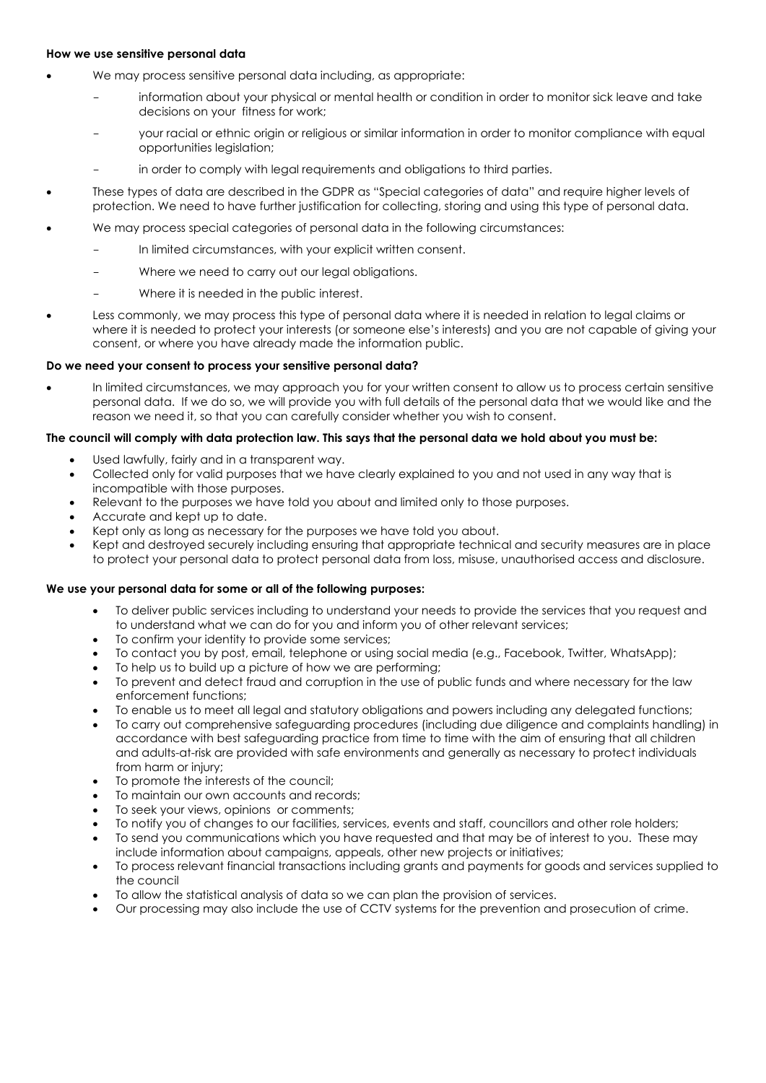#### **How we use sensitive personal data**

- We may process sensitive personal data including, as appropriate:
	- information about your physical or mental health or condition in order to monitor sick leave and take decisions on your fitness for work;
	- your racial or ethnic origin or religious or similar information in order to monitor compliance with equal opportunities legislation;
	- in order to comply with legal requirements and obligations to third parties.
- These types of data are described in the GDPR as "Special categories of data" and require higher levels of protection. We need to have further justification for collecting, storing and using this type of personal data.
- We may process special categories of personal data in the following circumstances:
	- In limited circumstances, with your explicit written consent.
	- Where we need to carry out our legal obligations.
	- Where it is needed in the public interest.
- Less commonly, we may process this type of personal data where it is needed in relation to legal claims or where it is needed to protect your interests (or someone else's interests) and you are not capable of giving your consent, or where you have already made the information public.

### **Do we need your consent to process your sensitive personal data?**

• In limited circumstances, we may approach you for your written consent to allow us to process certain sensitive personal data. If we do so, we will provide you with full details of the personal data that we would like and the reason we need it, so that you can carefully consider whether you wish to consent.

#### **The council will comply with data protection law. This says that the personal data we hold about you must be:**

- Used lawfully, fairly and in a transparent way.
- Collected only for valid purposes that we have clearly explained to you and not used in any way that is incompatible with those purposes.
- Relevant to the purposes we have told you about and limited only to those purposes.
- Accurate and kept up to date.
- Kept only as long as necessary for the purposes we have told you about.
- Kept and destroyed securely including ensuring that appropriate technical and security measures are in place to protect your personal data to protect personal data from loss, misuse, unauthorised access and disclosure.

### **We use your personal data for some or all of the following purposes:**

- To deliver public services including to understand your needs to provide the services that you request and to understand what we can do for you and inform you of other relevant services;
- To confirm your identity to provide some services;
- To contact you by post, email, telephone or using social media (e.g., Facebook, Twitter, WhatsApp);
- To help us to build up a picture of how we are performing;
- To prevent and detect fraud and corruption in the use of public funds and where necessary for the law enforcement functions;
- To enable us to meet all legal and statutory obligations and powers including any delegated functions;
- To carry out comprehensive safeguarding procedures (including due diligence and complaints handling) in accordance with best safeguarding practice from time to time with the aim of ensuring that all children and adults-at-risk are provided with safe environments and generally as necessary to protect individuals from harm or injury;
- To promote the interests of the council;
- To maintain our own accounts and records;
- To seek your views, opinions or comments;
- To notify you of changes to our facilities, services, events and staff, councillors and other role holders;
- To send you communications which you have requested and that may be of interest to you. These may include information about campaigns, appeals, other new projects or initiatives;
- To process relevant financial transactions including grants and payments for goods and services supplied to the council
- To allow the statistical analysis of data so we can plan the provision of services.
- Our processing may also include the use of CCTV systems for the prevention and prosecution of crime.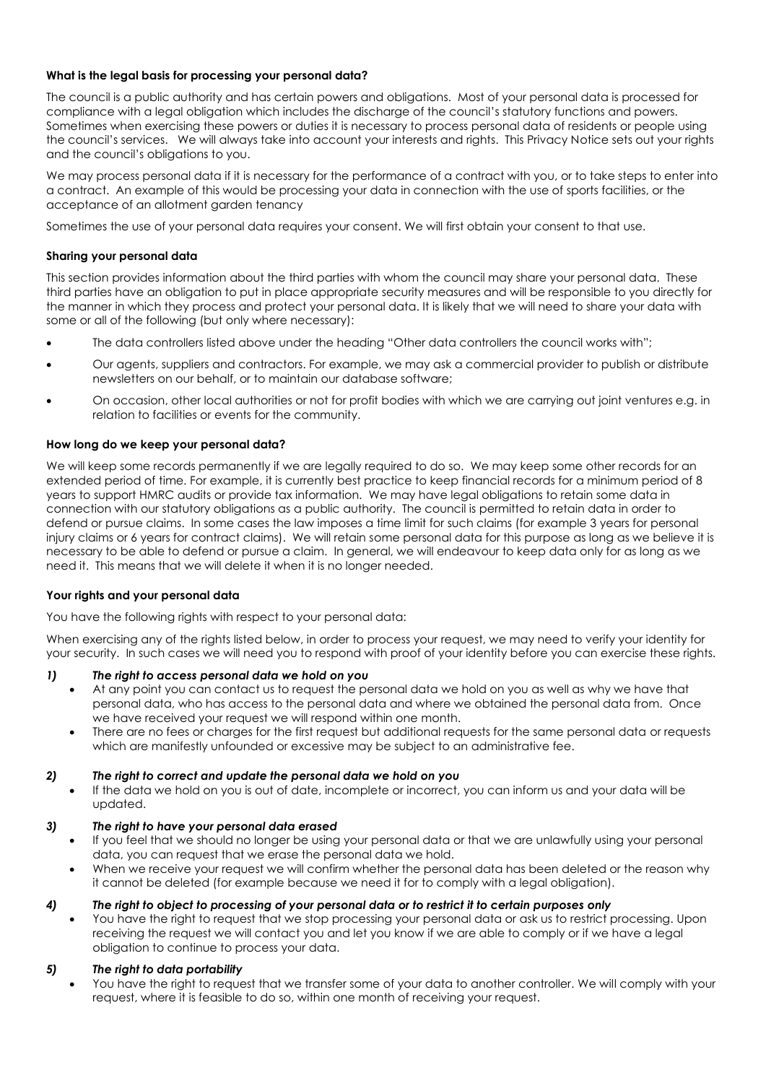# **What is the legal basis for processing your personal data?**

The council is a public authority and has certain powers and obligations. Most of your personal data is processed for compliance with a legal obligation which includes the discharge of the council's statutory functions and powers. Sometimes when exercising these powers or duties it is necessary to process personal data of residents or people using the council's services. We will always take into account your interests and rights. This Privacy Notice sets out your rights and the council's obligations to you.

We may process personal data if it is necessary for the performance of a contract with you, or to take steps to enter into a contract. An example of this would be processing your data in connection with the use of sports facilities, or the acceptance of an allotment garden tenancy

Sometimes the use of your personal data requires your consent. We will first obtain your consent to that use.

### **Sharing your personal data**

This section provides information about the third parties with whom the council may share your personal data. These third parties have an obligation to put in place appropriate security measures and will be responsible to you directly for the manner in which they process and protect your personal data. It is likely that we will need to share your data with some or all of the following (but only where necessary):

- The data controllers listed above under the heading "Other data controllers the council works with";
- Our agents, suppliers and contractors. For example, we may ask a commercial provider to publish or distribute newsletters on our behalf, or to maintain our database software;
- On occasion, other local authorities or not for profit bodies with which we are carrying out joint ventures e.g. in relation to facilities or events for the community.

### **How long do we keep your personal data?**

We will keep some records permanently if we are legally required to do so. We may keep some other records for an extended period of time. For example, it is currently best practice to keep financial records for a minimum period of 8 years to support HMRC audits or provide tax information. We may have legal obligations to retain some data in connection with our statutory obligations as a public authority. The council is permitted to retain data in order to defend or pursue claims. In some cases the law imposes a time limit for such claims (for example 3 years for personal injury claims or 6 years for contract claims). We will retain some personal data for this purpose as long as we believe it is necessary to be able to defend or pursue a claim. In general, we will endeavour to keep data only for as long as we need it. This means that we will delete it when it is no longer needed.

#### **Your rights and your personal data**

You have the following rights with respect to your personal data:

When exercising any of the rights listed below, in order to process your request, we may need to verify your identity for your security. In such cases we will need you to respond with proof of your identity before you can exercise these rights.

#### *1) The right to access personal data we hold on you*

- At any point you can contact us to request the personal data we hold on you as well as why we have that personal data, who has access to the personal data and where we obtained the personal data from. Once we have received your request we will respond within one month.
- There are no fees or charges for the first request but additional requests for the same personal data or requests which are manifestly unfounded or excessive may be subject to an administrative fee.

# *2) The right to correct and update the personal data we hold on you*

• If the data we hold on you is out of date, incomplete or incorrect, you can inform us and your data will be updated.

#### *3) The right to have your personal data erased*

- If you feel that we should no longer be using your personal data or that we are unlawfully using your personal data, you can request that we erase the personal data we hold.
- When we receive your request we will confirm whether the personal data has been deleted or the reason why it cannot be deleted (for example because we need it for to comply with a legal obligation).

#### *4) The right to object to processing of your personal data or to restrict it to certain purposes only*

• You have the right to request that we stop processing your personal data or ask us to restrict processing. Upon receiving the request we will contact you and let you know if we are able to comply or if we have a legal obligation to continue to process your data.

#### *5) The right to data portability*

You have the right to request that we transfer some of your data to another controller. We will comply with your request, where it is feasible to do so, within one month of receiving your request.